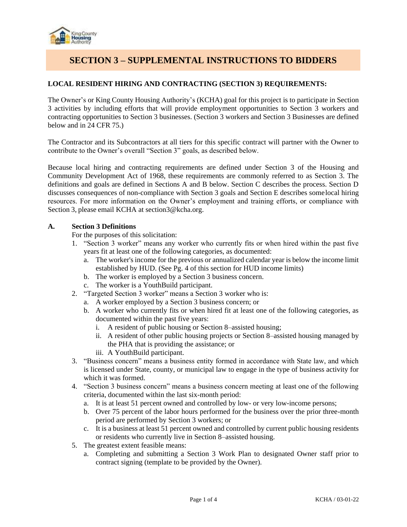

# **SECTION 3 – SUPPLEMENTAL INSTRUCTIONS TO BIDDERS**

# **LOCAL RESIDENT HIRING AND CONTRACTING (SECTION 3) REQUIREMENTS:**

The Owner's or King County Housing Authority's (KCHA) goal for this project is to participate in Section 3 activities by including efforts that will provide employment opportunities to Section 3 workers and contracting opportunities to Section 3 businesses. (Section 3 workers and Section 3 Businesses are defined below and in 24 CFR 75.)

The Contractor and its Subcontractors at all tiers for this specific contract will partner with the Owner to contribute to the Owner's overall "Section 3" goals, as described below.

Because local hiring and contracting requirements are defined under Section 3 of the Housing and Community Development Act of 1968, these requirements are commonly referred to as Section 3. The definitions and goals are defined in Sections A and B below. Section C describes the process. Section D discusses consequences of non-compliance with Section 3 goals and Section E describes somelocal hiring resources. For more information on the Owner's employment and training efforts, or compliance with Section 3, please email KCHA at section3@kcha.org.

#### **A. Section 3 Definitions**

For the purposes of this solicitation:

- 1. "Section 3 worker" means any worker who currently fits or when hired within the past five years fit at least one of the following categories, as documented:
	- a. The worker's income for the previous or annualized calendar year is below the income limit established by HUD. (See Pg. 4 of this section for HUD income limits)
	- b. The worker is employed by a Section 3 business concern.
	- c. The worker is a YouthBuild participant.
- 2. "Targeted Section 3 worker" means a Section 3 worker who is:
	- a. A worker employed by a Section 3 business concern; or
	- b. A worker who currently fits or when hired fit at least one of the following categories, as documented within the past five years:
		- i. A resident of public housing or Section 8–assisted housing;
		- ii. A resident of other public housing projects or Section 8–assisted housing managed by the PHA that is providing the assistance; or
		- iii. A YouthBuild participant.
- 3. "Business concern" means a business entity formed in accordance with State law, and which is licensed under State, county, or municipal law to engage in the type of business activity for which it was formed.
- 4. "Section 3 business concern" means a business concern meeting at least one of the following criteria, documented within the last six-month period:
	- a. It is at least 51 percent owned and controlled by low- or very low-income persons;
	- b. Over 75 percent of the labor hours performed for the business over the prior three-month period are performed by Section 3 workers; or
	- c. It is a business at least 51 percent owned and controlled by current public housing residents or residents who currently live in Section 8–assisted housing.
- 5. The greatest extent feasible means:
	- a. Completing and submitting a Section 3 Work Plan to designated Owner staff prior to contract signing (template to be provided by the Owner).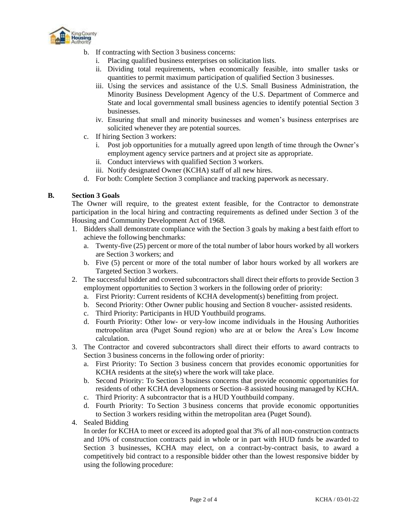

- b. If contracting with Section 3 business concerns:
	- i. Placing qualified business enterprises on solicitation lists.
	- ii. Dividing total requirements, when economically feasible, into smaller tasks or quantities to permit maximum participation of qualified Section 3 businesses.
	- iii. Using the services and assistance of the U.S. Small Business Administration, the Minority Business Development Agency of the U.S. Department of Commerce and State and local governmental small business agencies to identify potential Section 3 businesses.
	- iv. Ensuring that small and minority businesses and women's business enterprises are solicited whenever they are potential sources.
- c. If hiring Section 3 workers:
	- i. Post job opportunities for a mutually agreed upon length of time through the Owner's employment agency service partners and at project site as appropriate.
	- ii. Conduct interviews with qualified Section 3 workers.
	- iii. Notify designated Owner (KCHA) staff of all new hires.
- d. For both: Complete Section 3 compliance and tracking paperwork as necessary.

## **B. Section 3 Goals**

The Owner will require, to the greatest extent feasible, for the Contractor to demonstrate participation in the local hiring and contracting requirements as defined under Section 3 of the Housing and Community Development Act of 1968.

- 1. Bidders shall demonstrate compliance with the Section 3 goals by making a bestfaith effort to achieve the following benchmarks:
	- a. Twenty-five (25) percent or more of the total number of labor hours worked by all workers are Section 3 workers; and
	- b. Five (5) percent or more of the total number of labor hours worked by all workers are Targeted Section 3 workers.
- 2. The successful bidder and covered subcontractors shall direct their efforts to provide Section 3 employment opportunities to Section 3 workers in the following order of priority:
	- a. First Priority: Current residents of KCHA development(s) benefitting from project.
	- b. Second Priority: Other Owner public housing and Section 8 voucher- assisted residents.
	- c. Third Priority: Participants in HUD Youthbuild programs.
	- d. Fourth Priority: Other low- or very-low income individuals in the Housing Authorities metropolitan area (Puget Sound region) who are at or below the Area's Low Income calculation.
- 3. The Contractor and covered subcontractors shall direct their efforts to award contracts to Section 3 business concerns in the following order of priority:
	- a. First Priority: To Section 3 business concern that provides economic opportunities for KCHA residents at the site(s) where the work will take place.
	- b. Second Priority: To Section 3 business concerns that provide economic opportunities for residents of other KCHA developments or Section–8 assisted housing managed by KCHA.
	- c. Third Priority: A subcontractor that is a HUD Youthbuild company.
	- d. Fourth Priority: To Section 3 business concerns that provide economic opportunities to Section 3 workers residing within the metropolitan area (Puget Sound).
- 4. Sealed Bidding

In order for KCHA to meet or exceed its adopted goal that 3% of all non-construction contracts and 10% of construction contracts paid in whole or in part with HUD funds be awarded to Section 3 businesses, KCHA may elect, on a contract-by-contract basis, to award a competitively bid contract to a responsible bidder other than the lowest responsive bidder by using the following procedure: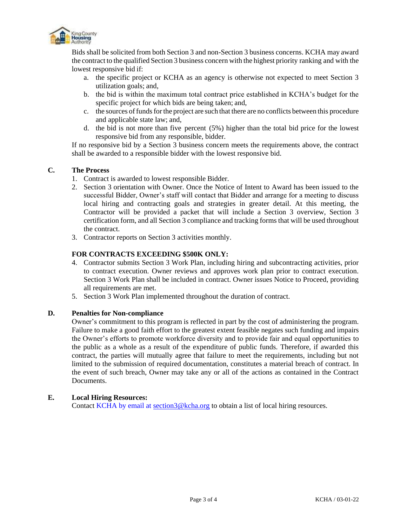

Bids shall be solicited from both Section 3 and non-Section 3 business concerns. KCHA may award the contract to the qualified Section 3 business concern with the highest priority ranking and with the lowest responsive bid if:

- a. the specific project or KCHA as an agency is otherwise not expected to meet Section 3 utilization goals; and,
- b. the bid is within the maximum total contract price established in KCHA's budget for the specific project for which bids are being taken; and,
- c. the sources offundsforthe project are such that there are no conflicts between this procedure and applicable state law; and,
- d. the bid is not more than five percent (5%) higher than the total bid price for the lowest responsive bid from any responsible, bidder.

If no responsive bid by a Section 3 business concern meets the requirements above, the contract shall be awarded to a responsible bidder with the lowest responsive bid.

## **C. The Process**

- 1. Contract is awarded to lowest responsible Bidder.
- 2. Section 3 orientation with Owner. Once the Notice of Intent to Award has been issued to the successful Bidder, Owner's staff will contact that Bidder and arrange for a meeting to discuss local hiring and contracting goals and strategies in greater detail. At this meeting, the Contractor will be provided a packet that will include a Section 3 overview, Section 3 certification form, and all Section 3 compliance and tracking forms that will be used throughout the contract.
- 3. Contractor reports on Section 3 activities monthly.

## **FOR CONTRACTS EXCEEDING \$500K ONLY:**

- 4. Contractor submits Section 3 Work Plan, including hiring and subcontracting activities, prior to contract execution. Owner reviews and approves work plan prior to contract execution. Section 3 Work Plan shall be included in contract. Owner issues Notice to Proceed, providing all requirements are met.
- 5. Section 3 Work Plan implemented throughout the duration of contract.

#### **D. Penalties for Non-compliance**

Owner's commitment to this program is reflected in part by the cost of administering the program. Failure to make a good faith effort to the greatest extent feasible negates such funding and impairs the Owner's efforts to promote workforce diversity and to provide fair and equal opportunities to the public as a whole as a result of the expenditure of public funds. Therefore, if awarded this contract, the parties will mutually agree that failure to meet the requirements, including but not limited to the submission of required documentation, constitutes a material breach of contract. In the event of such breach, Owner may take any or all of the actions as contained in the Contract Documents.

#### **E. Local Hiring Resources:**

Contact KCHA by email at [section3@kcha.org](mailto:section3@kcha.org) to obtain a list of local hiring resources.